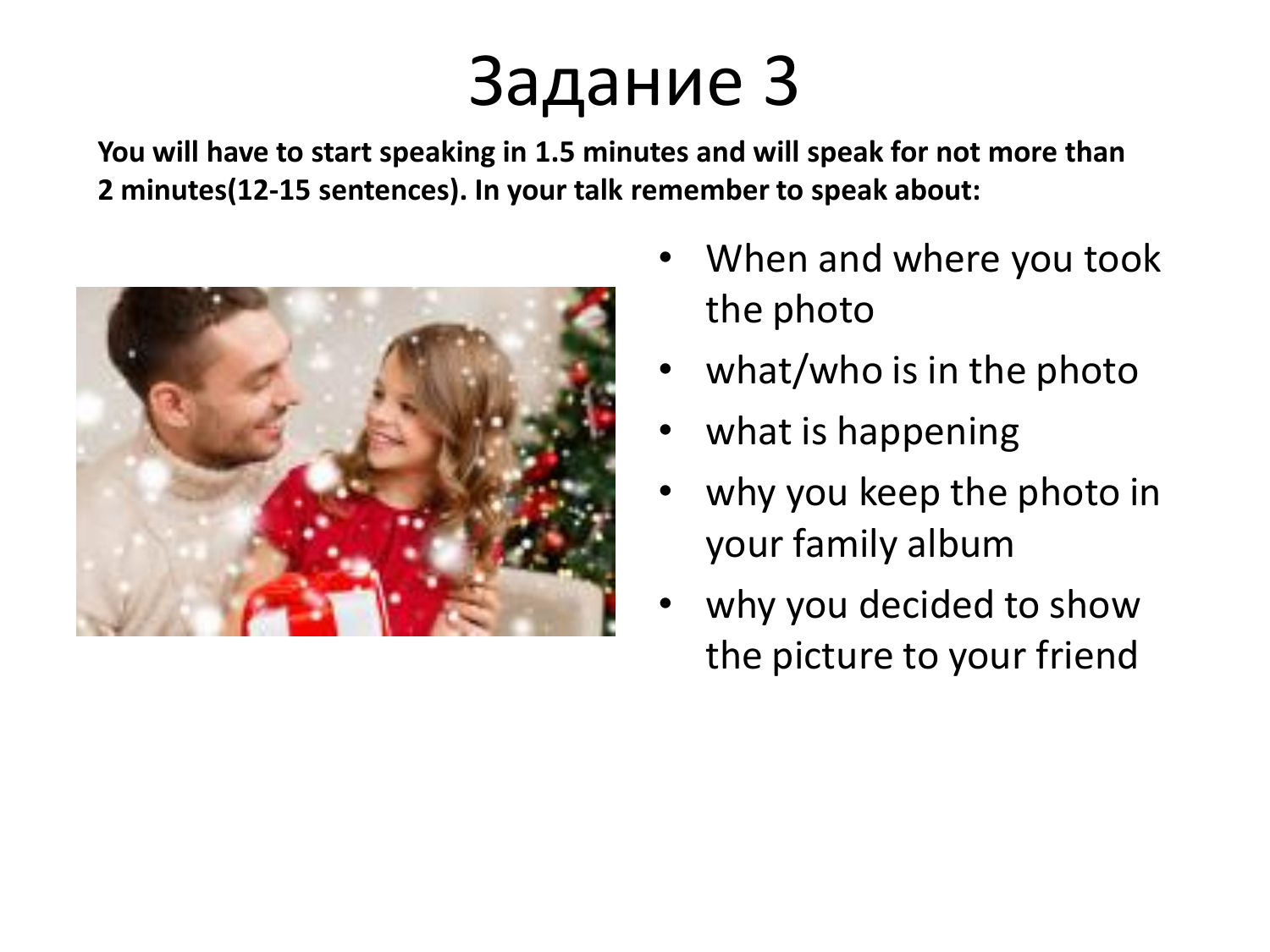## Задание 3

**You will have to start speaking in 1.5 minutes and will speak for not more than 2 minutes(12-15 sentences). In your talk remember to speak about:**



- When and where you took the photo
- what/who is in the photo
- what is happening
- why you keep the photo in your family album
- why you decided to show the picture to your friend